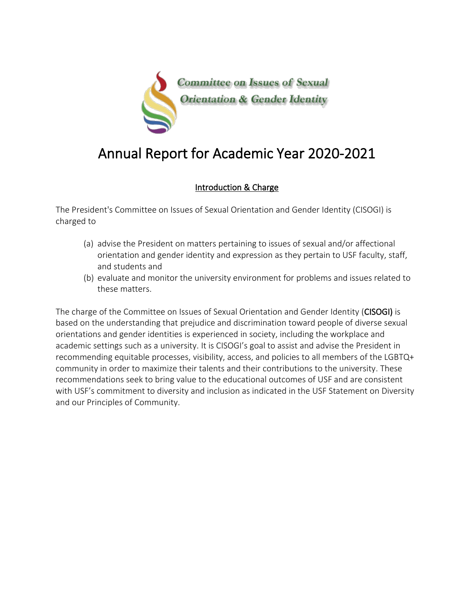

# Annual Report for Academic Year 2020-2021

## Introduction & Charge

The President's Committee on Issues of Sexual Orientation and Gender Identity (CISOGI) is charged to

- (a) advise the President on matters pertaining to issues of sexual and/or affectional orientation and gender identity and expression as they pertain to USF faculty, staff, and students and
- (b) evaluate and monitor the university environment for problems and issues related to these matters.

The charge of the Committee on Issues of Sexual Orientation and Gender Identity (CISOGI) is based on the understanding that prejudice and discrimination toward people of diverse sexual orientations and gender identities is experienced in society, including the workplace and academic settings such as a university. It is CISOGI's goal to assist and advise the President in recommending equitable processes, visibility, access, and policies to all members of the LGBTQ+ community in order to maximize their talents and their contributions to the university. These recommendations seek to bring value to the educational outcomes of USF and are consistent with USF's commitment to diversity and inclusion as indicated in the USF Statement on Diversity and our Principles of Community.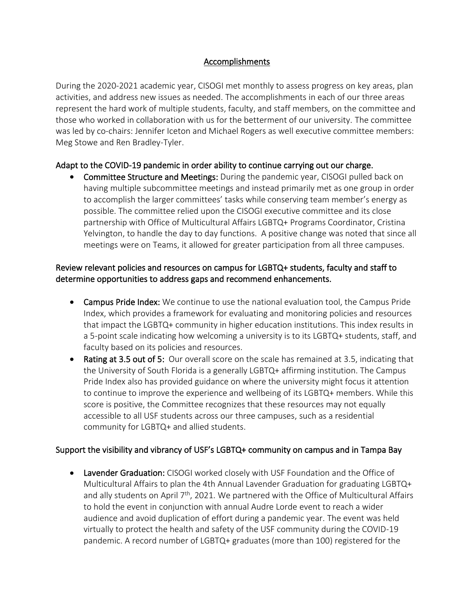#### Accomplishments

During the 2020-2021 academic year, CISOGI met monthly to assess progress on key areas, plan activities, and address new issues as needed. The accomplishments in each of our three areas represent the hard work of multiple students, faculty, and staff members, on the committee and those who worked in collaboration with us for the betterment of our university. The committee was led by co-chairs: Jennifer Iceton and Michael Rogers as well executive committee members: Meg Stowe and Ren Bradley-Tyler.

#### Adapt to the COVID-19 pandemic in order ability to continue carrying out our charge.

• Committee Structure and Meetings: During the pandemic year, CISOGI pulled back on having multiple subcommittee meetings and instead primarily met as one group in order to accomplish the larger committees' tasks while conserving team member's energy as possible. The committee relied upon the CISOGI executive committee and its close partnership with Office of Multicultural Affairs LGBTQ+ Programs Coordinator, Cristina Yelvington, to handle the day to day functions. A positive change was noted that since all meetings were on Teams, it allowed for greater participation from all three campuses.

#### Review relevant policies and resources on campus for LGBTQ+ students, faculty and staff to determine opportunities to address gaps and recommend enhancements.

- Campus Pride Index: We continue to use the national evaluation tool, the Campus Pride Index, which provides a framework for evaluating and monitoring policies and resources that impact the LGBTQ+ community in higher education institutions. This index results in a 5-point scale indicating how welcoming a university is to its LGBTQ+ students, staff, and faculty based on its policies and resources.
- Rating at 3.5 out of 5: Our overall score on the scale has remained at 3.5, indicating that the University of South Florida is a generally LGBTQ+ affirming institution. The Campus Pride Index also has provided guidance on where the university might focus it attention to continue to improve the experience and wellbeing of its LGBTQ+ members. While this score is positive, the Committee recognizes that these resources may not equally accessible to all USF students across our three campuses, such as a residential community for LGBTQ+ and allied students.

## Support the visibility and vibrancy of USF's LGBTQ+ community on campus and in Tampa Bay

Lavender Graduation: CISOGI worked closely with USF Foundation and the Office of Multicultural Affairs to plan the 4th Annual Lavender Graduation for graduating LGBTQ+ and ally students on April 7<sup>th</sup>, 2021. We partnered with the Office of Multicultural Affairs to hold the event in conjunction with annual Audre Lorde event to reach a wider audience and avoid duplication of effort during a pandemic year. The event was held virtually to protect the health and safety of the USF community during the COVID-19 pandemic. A record number of LGBTQ+ graduates (more than 100) registered for the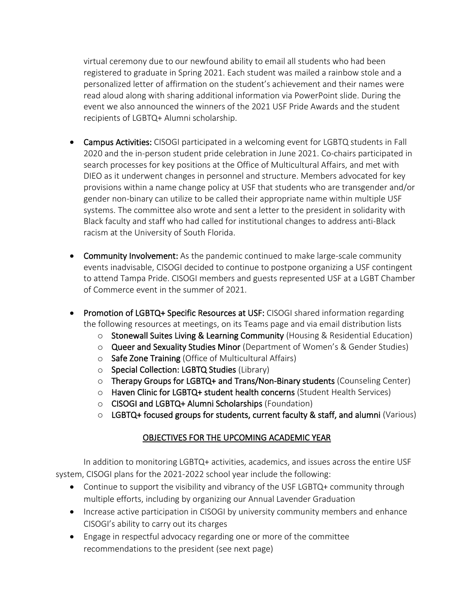virtual ceremony due to our newfound ability to email all students who had been registered to graduate in Spring 2021. Each student was mailed a rainbow stole and a personalized letter of affirmation on the student's achievement and their names were read aloud along with sharing additional information via PowerPoint slide. During the event we also announced the winners of the 2021 USF Pride Awards and the student recipients of LGBTQ+ Alumni scholarship.

- Campus Activities: CISOGI participated in a welcoming event for LGBTQ students in Fall 2020 and the in-person student pride celebration in June 2021. Co-chairs participated in search processes for key positions at the Office of Multicultural Affairs, and met with DIEO as it underwent changes in personnel and structure. Members advocated for key provisions within a name change policy at USF that students who are transgender and/or gender non-binary can utilize to be called their appropriate name within multiple USF systems. The committee also wrote and sent a letter to the president in solidarity with Black faculty and staff who had called for institutional changes to address anti-Black racism at the University of South Florida.
- Community Involvement: As the pandemic continued to make large-scale community events inadvisable, CISOGI decided to continue to postpone organizing a USF contingent to attend Tampa Pride. CISOGI members and guests represented USF at a LGBT Chamber of Commerce event in the summer of 2021.
- Promotion of LGBTQ+ Specific Resources at USF: CISOGI shared information regarding the following resources at meetings, on its Teams page and via email distribution lists
	- o Stonewall Suites Living & Learning Community (Housing & Residential Education)
	- o Queer and Sexuality Studies Minor (Department of Women's & Gender Studies)
	- o Safe Zone Training (Office of Multicultural Affairs)
	- o Special Collection: LGBTQ Studies (Library)
	- o Therapy Groups for LGBTQ+ and Trans/Non-Binary students (Counseling Center)
	- $\circ$  Haven Clinic for LGBTQ+ student health concerns (Student Health Services)
	- o CISOGI and LGBTQ+ Alumni Scholarships (Foundation)
	- $\circ$  LGBTQ+ focused groups for students, current faculty & staff, and alumni (Various)

## OBJECTIVES FOR THE UPCOMING ACADEMIC YEAR

In addition to monitoring LGBTQ+ activities, academics, and issues across the entire USF system, CISOGI plans for the 2021-2022 school year include the following:

- Continue to support the visibility and vibrancy of the USF LGBTQ+ community through multiple efforts, including by organizing our Annual Lavender Graduation
- Increase active participation in CISOGI by university community members and enhance CISOGI's ability to carry out its charges
- Engage in respectful advocacy regarding one or more of the committee recommendations to the president (see next page)